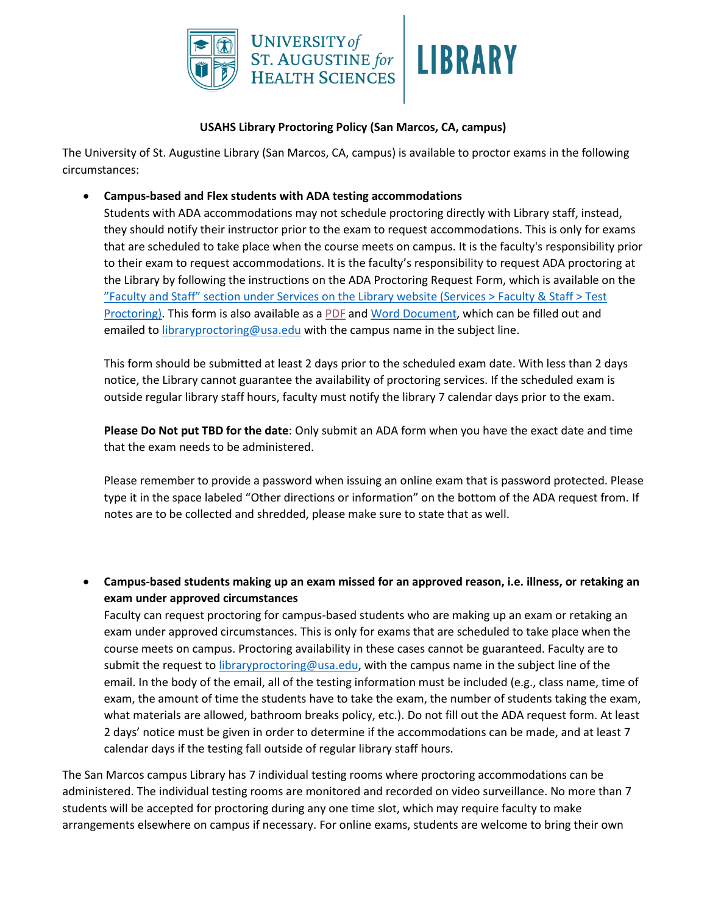

## **USAHS Library Proctoring Policy (San Marcos, CA, campus)**

The University of St. Augustine Library (San Marcos, CA, campus) is available to proctor exams in the following circumstances:

## • **Campus-based and Flex students with ADA testing accommodations**

Students with ADA accommodations may not schedule proctoring directly with Library staff, instead, they should notify their instructor prior to the exam to request accommodations. This is only for exams that are scheduled to take place when the course meets on campus. It is the faculty's responsibility prior to their exam to request accommodations. It is the faculty's responsibility to request ADA proctoring at the Library by following the instructions on the ADA Proctoring Request Form, which is available on the "Faculty and Staff" section under Services on the Library website (Services > Faculty & Staff > Test Proctoring). This form is also available as a PDF and Word Document, which can be filled out and emailed to *libraryproctoring@usa.edu* with the campus name in the subject line.

This form should be submitted at least 2 days prior to the scheduled exam date. With less than 2 days notice, the Library cannot guarantee the availability of proctoring services. If the scheduled exam is outside regular library staff hours, faculty must notify the library 7 calendar days prior to the exam.

**Please Do Not put TBD for the date**: Only submit an ADA form when you have the exact date and time that the exam needs to be administered.

Please remember to provide a password when issuing an online exam that is password protected. Please type it in the space labeled "Other directions or information" on the bottom of the ADA request from. If notes are to be collected and shredded, please make sure to state that as well.

• **Campus-based students making up an exam missed for an approved reason, i.e. illness, or retaking an exam under approved circumstances**

Faculty can request proctoring for campus-based students who are making up an exam or retaking an exam under approved circumstances. This is only for exams that are scheduled to take place when the course meets on campus. Proctoring availability in these cases cannot be guaranteed. Faculty are to submit the request to *libraryproctoring@usa.edu*, with the campus name in the subject line of the email. In the body of the email, all of the testing information must be included (e.g., class name, time of exam, the amount of time the students have to take the exam, the number of students taking the exam, what materials are allowed, bathroom breaks policy, etc.). Do not fill out the ADA request form. At least 2 days' notice must be given in order to determine if the accommodations can be made, and at least 7 calendar days if the testing fall outside of regular library staff hours.

The San Marcos campus Library has 7 individual testing rooms where proctoring accommodations can be administered. The individual testing rooms are monitored and recorded on video surveillance. No more than 7 students will be accepted for proctoring during any one time slot, which may require faculty to make arrangements elsewhere on campus if necessary. For online exams, students are welcome to bring their own